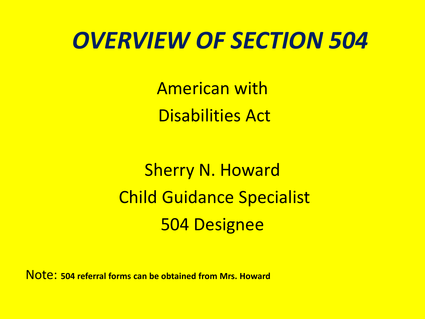#### *OVERVIEW OF SECTION 504*

American with Disabilities Act

Sherry N. Howard Child Guidance Specialist 504 Designee

Note: **504 referral forms can be obtained from Mrs. Howard**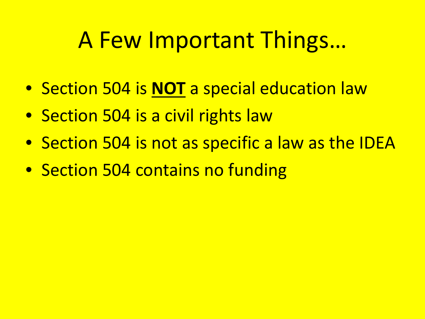### A Few Important Things…

- Section 504 is **NOT** a special education law
- Section 504 is a civil rights law
- Section 504 is not as specific a law as the IDEA
- Section 504 contains no funding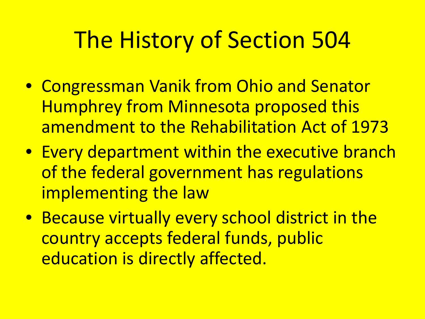## The History of Section 504

- Congressman Vanik from Ohio and Senator Humphrey from Minnesota proposed this amendment to the Rehabilitation Act of 1973
- Every department within the executive branch of the federal government has regulations implementing the law
- Because virtually every school district in the country accepts federal funds, public education is directly affected.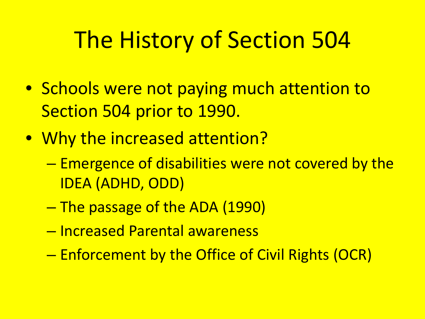## The History of Section 504

- Schools were not paying much attention to Section 504 prior to 1990.
- Why the increased attention?
	- Emergence of disabilities were not covered by the IDEA (ADHD, ODD)
	- The passage of the ADA (1990)
	- Increased Parental awareness
	- Enforcement by the Office of Civil Rights (OCR)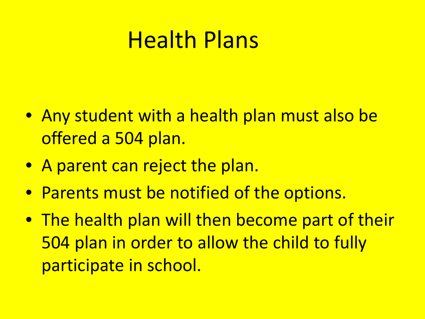### Health Plans

- Any student with a health plan must also be offered a 504 plan.
- A parent can reject the plan.
- Parents must be notified of the options.
- The health plan will then become part of their 504 plan in order to allow the child to fully participate in school.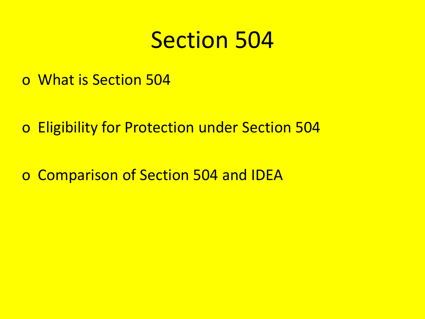#### Section 504

- o What is Section 504
- o Eligibility for Protection under Section 504
- o Comparison of Section 504 and IDEA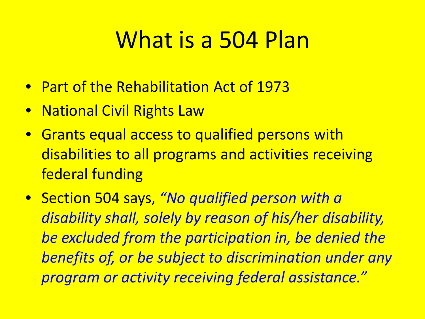### What is a 504 Plan

- Part of the Rehabilitation Act of 1973
- National Civil Rights Law
- Grants equal access to qualified persons with disabilities to all programs and activities receiving federal funding
- Section 504 says, *"No qualified person with a disability shall, solely by reason of his/her disability, be excluded from the participation in, be denied the benefits of, or be subject to discrimination under any program or activity receiving federal assistance."*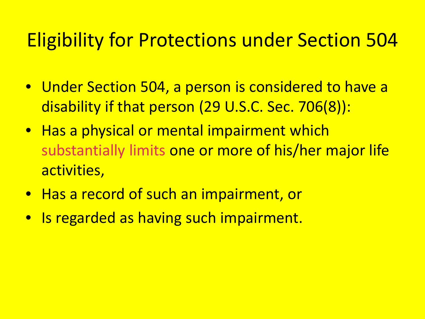#### Eligibility for Protections under Section 504

- Under Section 504, a person is considered to have a disability if that person (29 U.S.C. Sec. 706(8)):
- Has a physical or mental impairment which substantially limits one or more of his/her major life activities,
- Has a record of such an impairment, or
- Is regarded as having such impairment.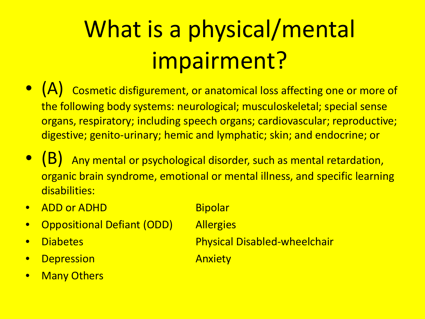# What is a physical/mental impairment?

- $(A)$  Cosmetic disfigurement, or anatomical loss affecting one or more of the following body systems: neurological; musculoskeletal; special sense organs, respiratory; including speech organs; cardiovascular; reproductive; digestive; genito-urinary; hemic and lymphatic; skin; and endocrine; or
- (B) Any mental or psychological disorder, such as mental retardation, organic brain syndrome, emotional or mental illness, and specific learning disabilities:
- ADD or ADHD Bipolar
- Oppositional Defiant (ODD) Allergies
- 
- **Depression Anxiety**
- Many Others
- 
- 
- Diabetes Physical Disabled-wheelchair
	-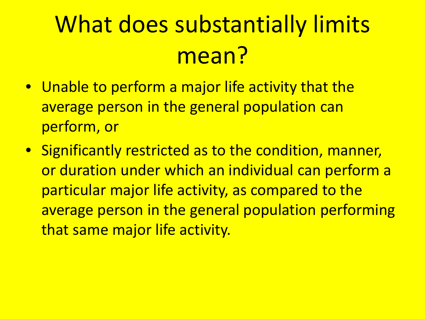## What does substantially limits mean?

- Unable to perform a major life activity that the average person in the general population can perform, or
- Significantly restricted as to the condition, manner, or duration under which an individual can perform a particular major life activity, as compared to the average person in the general population performing that same major life activity.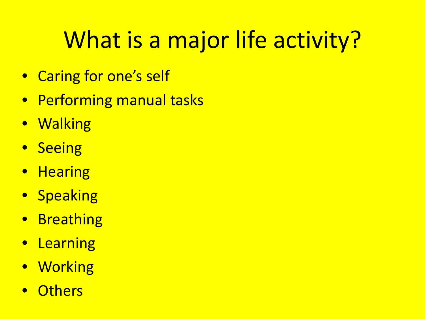## What is a major life activity?

- Caring for one's self
- Performing manual tasks
- Walking
- Seeing
- Hearing
- Speaking
- Breathing
- Learning
- Working
- **Others**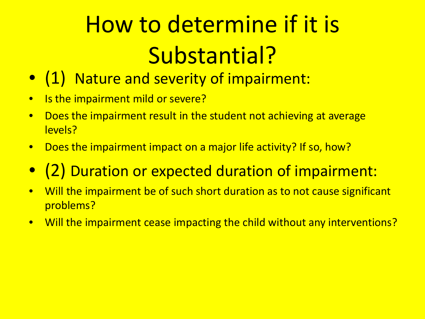# How to determine if it is Substantial?

- (1) Nature and severity of impairment:
- Is the impairment mild or severe?
- Does the impairment result in the student not achieving at average levels?
- Does the impairment impact on a major life activity? If so, how?
- (2) Duration or expected duration of impairment:
- Will the impairment be of such short duration as to not cause significant problems?
- Will the impairment cease impacting the child without any interventions?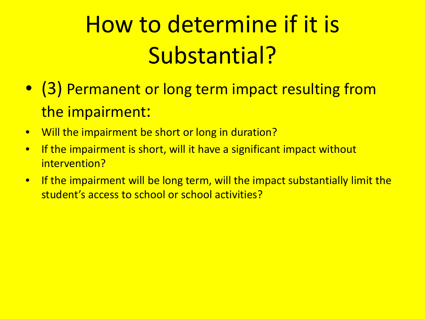## How to determine if it is Substantial?

- (3) Permanent or long term impact resulting from the impairment:
- Will the impairment be short or long in duration?
- If the impairment is short, will it have a significant impact without intervention?
- If the impairment will be long term, will the impact substantially limit the student's access to school or school activities?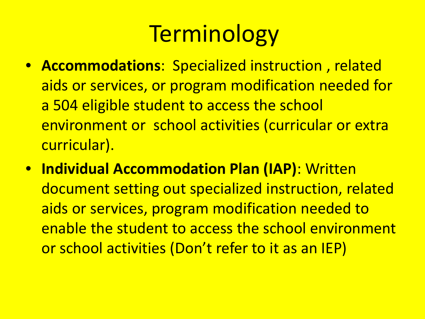## **Terminology**

- **Accommodations**: Specialized instruction , related aids or services, or program modification needed for a 504 eligible student to access the school environment or school activities (curricular or extra curricular).
- **Individual Accommodation Plan (IAP)**: Written document setting out specialized instruction, related aids or services, program modification needed to enable the student to access the school environment or school activities (Don't refer to it as an IEP)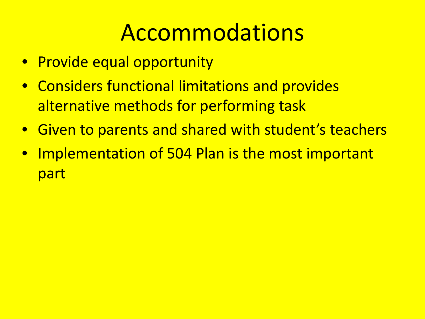### Accommodations

- Provide equal opportunity
- Considers functional limitations and provides alternative methods for performing task
- Given to parents and shared with student's teachers
- Implementation of 504 Plan is the most important part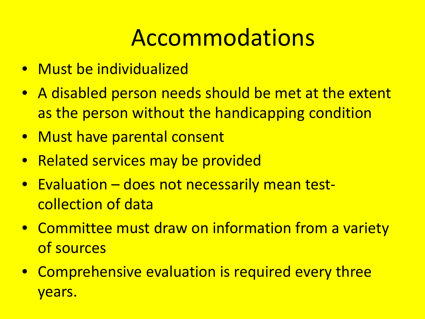## Accommodations

- Must be individualized
- A disabled person needs should be met at the extent as the person without the handicapping condition
- Must have parental consent
- Related services may be provided
- Evaluation does not necessarily mean testcollection of data
- Committee must draw on information from a variety of sources
- Comprehensive evaluation is required every three years.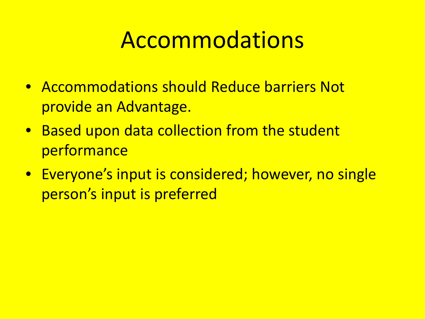#### Accommodations

- Accommodations should Reduce barriers Not provide an Advantage.
- Based upon data collection from the student performance
- Everyone's input is considered; however, no single person's input is preferred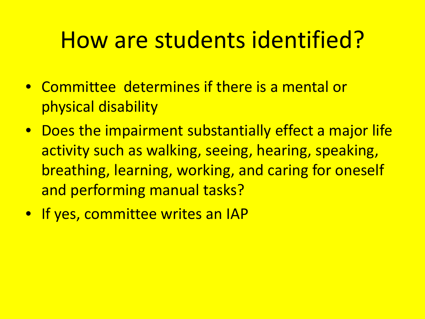## How are students identified?

- Committee determines if there is a mental or physical disability
- Does the impairment substantially effect a major life activity such as walking, seeing, hearing, speaking, breathing, learning, working, and caring for oneself and performing manual tasks?
- **If yes, committee writes an IAP**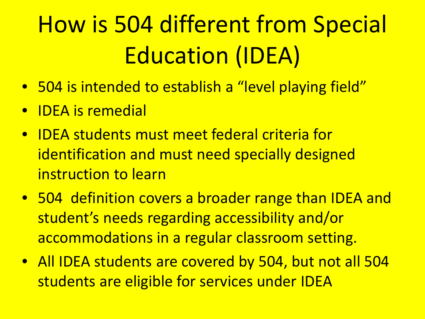# How is 504 different from Special Education (IDEA)

- 504 is intended to establish a "level playing field"
- IDEA is remedial
- IDEA students must meet federal criteria for identification and must need specially designed instruction to learn
- 504 definition covers a broader range than IDEA and student's needs regarding accessibility and/or accommodations in a regular classroom setting.
- All IDEA students are covered by 504, but not all 504 students are eligible for services under IDEA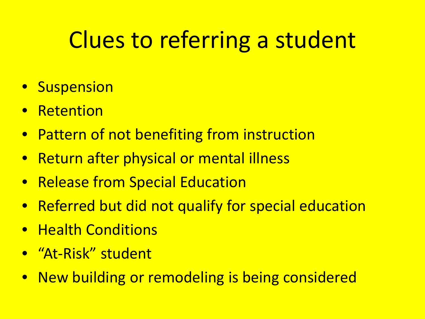## Clues to referring a student

- Suspension
- **Retention**
- Pattern of not benefiting from instruction
- Return after physical or mental illness
- Release from Special Education
- Referred but did not qualify for special education
- Health Conditions
- "At-Risk" student
- New building or remodeling is being considered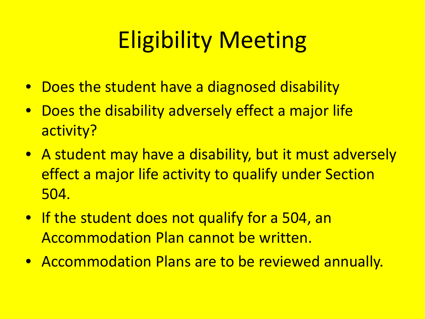## Eligibility Meeting

- Does the student have a diagnosed disability
- Does the disability adversely effect a major life activity?
- A student may have a disability, but it must adversely effect a major life activity to qualify under Section 504.
- If the student does not qualify for a 504, an Accommodation Plan cannot be written.
- Accommodation Plans are to be reviewed annually.